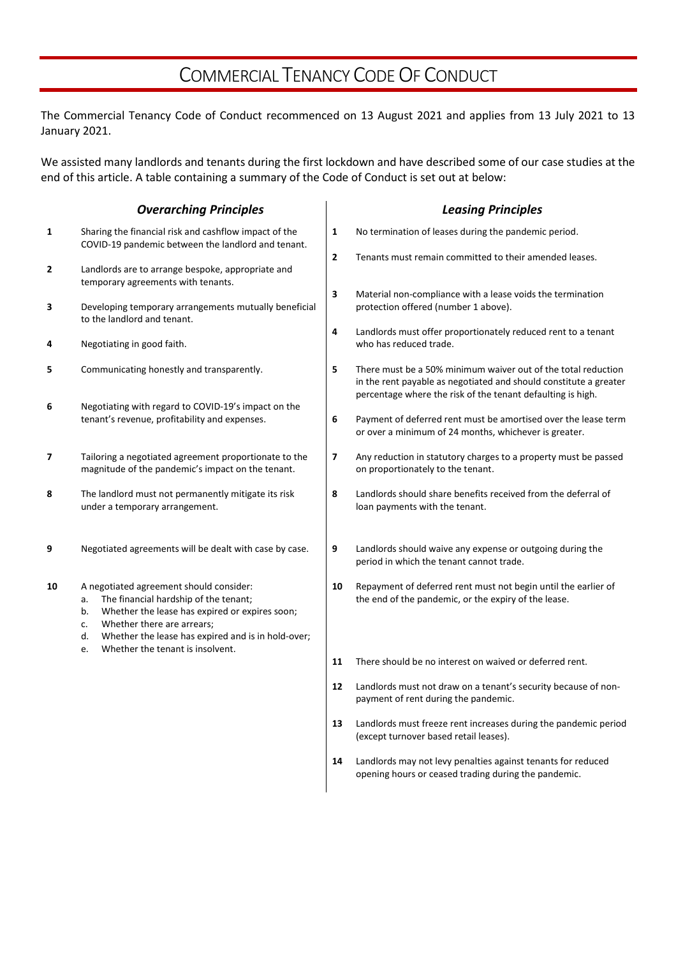# COMMERCIAL TENANCY CODE OF CONDUCT

The Commercial Tenancy Code of Conduct recommenced on 13 August 2021 and applies from 13 July 2021 to 13 January 2021.

We assisted many landlords and tenants during the first lockdown and have described some of our case studies at the end of this article. A table containing a summary of the Code of Conduct is set out at below:

|                | <b>Overarching Principles</b>                                                                                                                                                                                                                                                            |              | <b>Leasing Principles</b>                                                                                                                                                                         |
|----------------|------------------------------------------------------------------------------------------------------------------------------------------------------------------------------------------------------------------------------------------------------------------------------------------|--------------|---------------------------------------------------------------------------------------------------------------------------------------------------------------------------------------------------|
| 1              | Sharing the financial risk and cashflow impact of the<br>COVID-19 pandemic between the landlord and tenant.                                                                                                                                                                              | 1            | No termination of leases during the pandemic period.                                                                                                                                              |
| $\overline{2}$ | Landlords are to arrange bespoke, appropriate and<br>temporary agreements with tenants.                                                                                                                                                                                                  | $\mathbf{2}$ | Tenants must remain committed to their amended leases.                                                                                                                                            |
| 3              | Developing temporary arrangements mutually beneficial<br>to the landlord and tenant.                                                                                                                                                                                                     | 3            | Material non-compliance with a lease voids the termination<br>protection offered (number 1 above).                                                                                                |
| 4              | Negotiating in good faith.                                                                                                                                                                                                                                                               | 4            | Landlords must offer proportionately reduced rent to a tenant<br>who has reduced trade.                                                                                                           |
| 5              | Communicating honestly and transparently.                                                                                                                                                                                                                                                | 5            | There must be a 50% minimum waiver out of the total reduction<br>in the rent payable as negotiated and should constitute a greater<br>percentage where the risk of the tenant defaulting is high. |
| 6              | Negotiating with regard to COVID-19's impact on the<br>tenant's revenue, profitability and expenses.                                                                                                                                                                                     | 6            | Payment of deferred rent must be amortised over the lease term<br>or over a minimum of 24 months, whichever is greater.                                                                           |
| 7              | Tailoring a negotiated agreement proportionate to the<br>magnitude of the pandemic's impact on the tenant.                                                                                                                                                                               | 7            | Any reduction in statutory charges to a property must be passed<br>on proportionately to the tenant.                                                                                              |
| 8              | The landlord must not permanently mitigate its risk<br>under a temporary arrangement.                                                                                                                                                                                                    | 8            | Landlords should share benefits received from the deferral of<br>loan payments with the tenant.                                                                                                   |
| 9              | Negotiated agreements will be dealt with case by case.                                                                                                                                                                                                                                   | 9            | Landlords should waive any expense or outgoing during the<br>period in which the tenant cannot trade.                                                                                             |
| 10             | A negotiated agreement should consider:<br>The financial hardship of the tenant;<br>a.<br>Whether the lease has expired or expires soon;<br>b.<br>Whether there are arrears;<br>c.<br>Whether the lease has expired and is in hold-over;<br>d.<br>Whether the tenant is insolvent.<br>e. | 10           | Repayment of deferred rent must not begin until the earlier of<br>the end of the pandemic, or the expiry of the lease.                                                                            |
|                |                                                                                                                                                                                                                                                                                          | 11           | There should be no interest on waived or deferred rent.                                                                                                                                           |
|                |                                                                                                                                                                                                                                                                                          | 12           | Landlords must not draw on a tenant's security because of non-<br>payment of rent during the pandemic.                                                                                            |
|                |                                                                                                                                                                                                                                                                                          | 13           | Landlords must freeze rent increases during the pandemic period<br>(except turnover based retail leases).                                                                                         |
|                |                                                                                                                                                                                                                                                                                          | 14           | Landlords may not levy penalties against tenants for reduced<br>opening hours or ceased trading during the pandemic.                                                                              |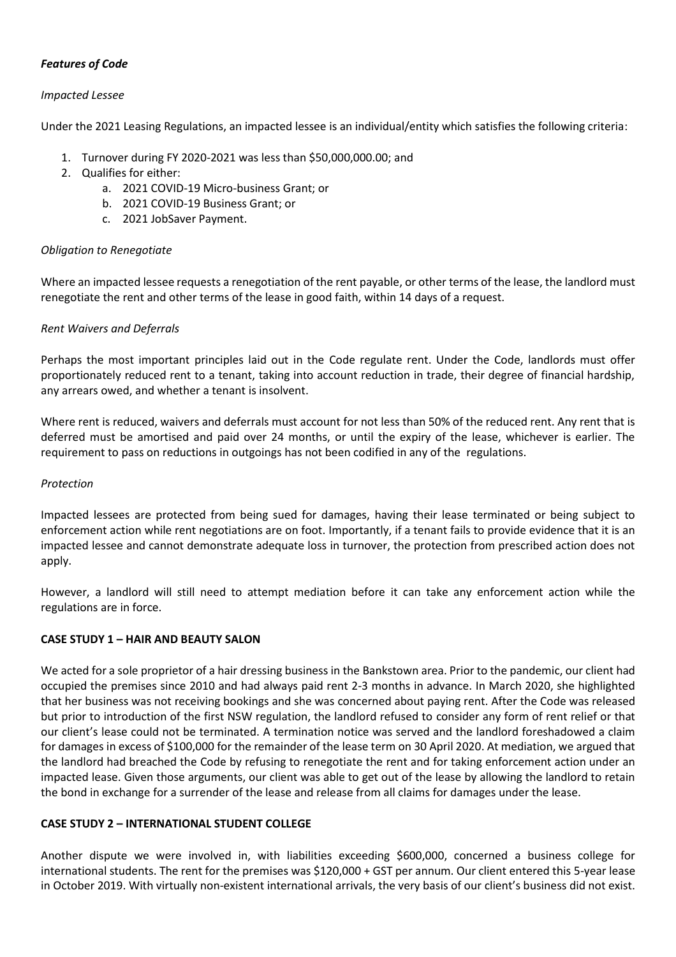# *Features of Code*

#### *Impacted Lessee*

Under the 2021 Leasing Regulations, an impacted lessee is an individual/entity which satisfies the following criteria:

- 1. Turnover during FY 2020-2021 was less than \$50,000,000.00; and
- 2. Qualifies for either:
	- a. 2021 COVID-19 Micro-business Grant; or
	- b. 2021 COVID-19 Business Grant; or
	- c. 2021 JobSaver Payment.

## *Obligation to Renegotiate*

Where an impacted lessee requests a renegotiation of the rent payable, or other terms of the lease, the landlord must renegotiate the rent and other terms of the lease in good faith, within 14 days of a request.

## *Rent Waivers and Deferrals*

Perhaps the most important principles laid out in the Code regulate rent. Under the Code, landlords must offer proportionately reduced rent to a tenant, taking into account reduction in trade, their degree of financial hardship, any arrears owed, and whether a tenant is insolvent.

Where rent is reduced, waivers and deferrals must account for not less than 50% of the reduced rent. Any rent that is deferred must be amortised and paid over 24 months, or until the expiry of the lease, whichever is earlier. The requirement to pass on reductions in outgoings has not been codified in any of the regulations.

#### *Protection*

Impacted lessees are protected from being sued for damages, having their lease terminated or being subject to enforcement action while rent negotiations are on foot. Importantly, if a tenant fails to provide evidence that it is an impacted lessee and cannot demonstrate adequate loss in turnover, the protection from prescribed action does not apply.

However, a landlord will still need to attempt mediation before it can take any enforcement action while the regulations are in force.

#### **CASE STUDY 1 – HAIR AND BEAUTY SALON**

We acted for a sole proprietor of a hair dressing business in the Bankstown area. Prior to the pandemic, our client had occupied the premises since 2010 and had always paid rent 2-3 months in advance. In March 2020, she highlighted that her business was not receiving bookings and she was concerned about paying rent. After the Code was released but prior to introduction of the first NSW regulation, the landlord refused to consider any form of rent relief or that our client's lease could not be terminated. A termination notice was served and the landlord foreshadowed a claim for damages in excess of \$100,000 for the remainder of the lease term on 30 April 2020. At mediation, we argued that the landlord had breached the Code by refusing to renegotiate the rent and for taking enforcement action under an impacted lease. Given those arguments, our client was able to get out of the lease by allowing the landlord to retain the bond in exchange for a surrender of the lease and release from all claims for damages under the lease.

#### **CASE STUDY 2 – INTERNATIONAL STUDENT COLLEGE**

Another dispute we were involved in, with liabilities exceeding \$600,000, concerned a business college for international students. The rent for the premises was \$120,000 + GST per annum. Our client entered this 5-year lease in October 2019. With virtually non-existent international arrivals, the very basis of our client's business did not exist.